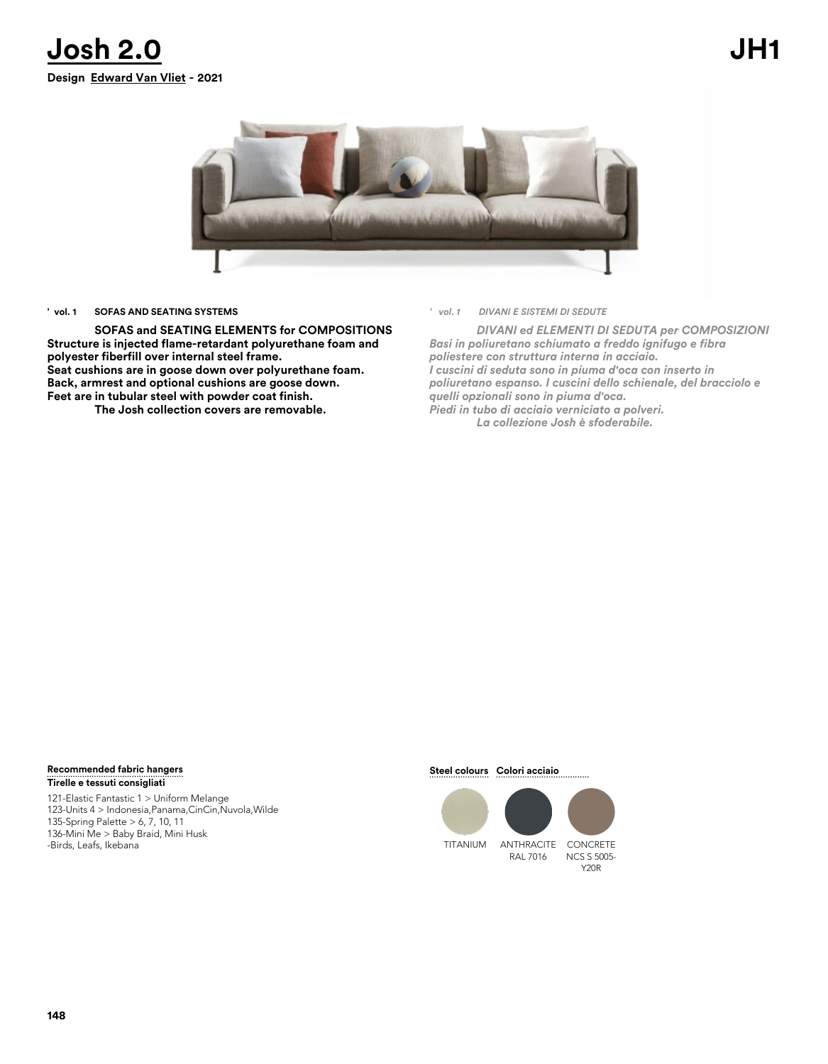



## **' vol. 1 SOFAS AND SEATING SYSTEMS**

**SOFAS and SEATING ELEMENTS for COMPOSITIONS Structure is injected flame-retardant polyurethane foam and polyester fiberfill over internal steel frame. Seat cushions are in goose down over polyurethane foam. Back, armrest and optional cushions are goose down. Feet are in tubular steel with powder coat finish.**

**The Josh collection covers are removable.** 

*' vol. 1 DIVANI E SISTEMI DI SEDUTE*

*DIVANI ed ELEMENTI DI SEDUTA per COMPOSIZIONI Basi in poliuretano schiumato a freddo ignifugo e fibra poliestere con struttura interna in acciaio. I cuscini di seduta sono in piuma d'oca con inserto in poliuretano espanso. I cuscini dello schienale, del bracciolo e quelli opzionali sono in piuma d'oca. Piedi in tubo di acciaio verniciato a polveri. La collezione Josh è sfoderabile.*

### **Tirelle e tessuti consigliati Recommended fabric hangers Steel colours Colori acciaio**

121-Elastic Fantastic 1 > Uniform Melange 123-Units 4 > Indonesia,Panama,CinCin,Nuvola,Wilde 135-Spring Palette > 6, 7, 10, 11 136-Mini Me > Baby Braid, Mini Husk -Birds, Leafs, Ikebana TITANIUM ANTHRACITE





Y20R

RAL 7016 NCS S 5005-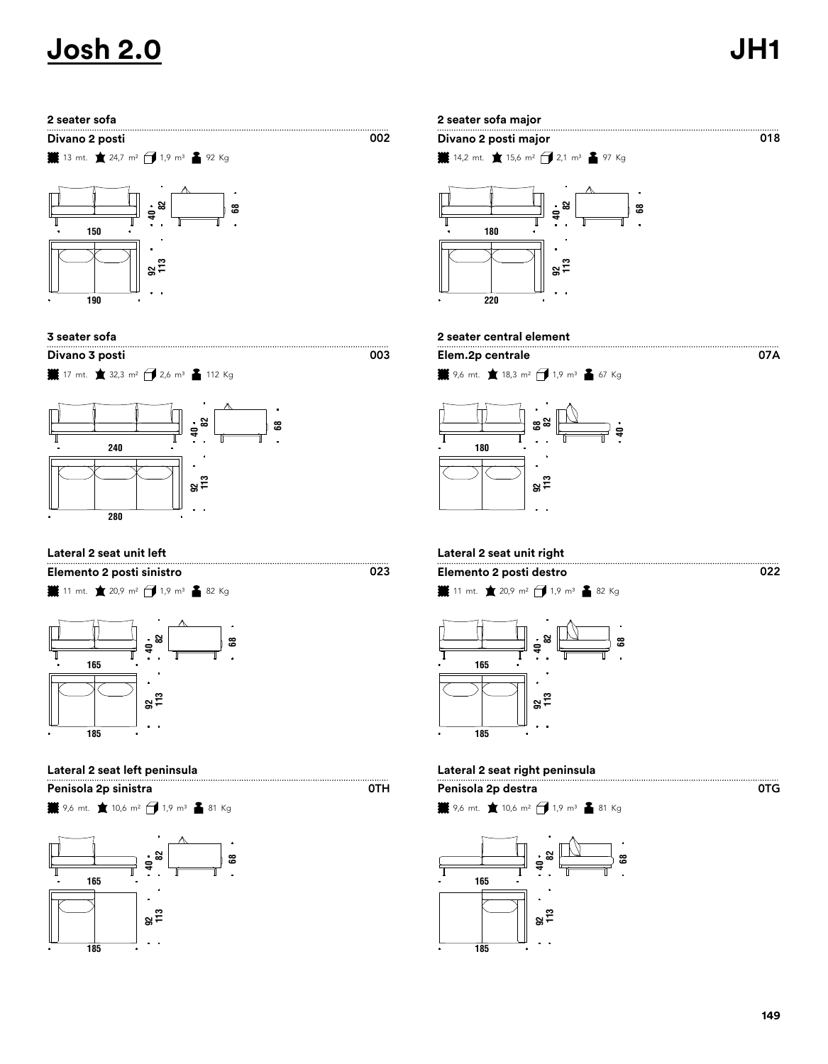07A

**13** mt. ★ 24,7 m<sup>2</sup> → 1,9 m<sup>3</sup> ▲ 92 Kg





 $\frac{1}{2}$  17 mt. ★ 32,3 m<sup>2</sup> → 2,6 m<sup>3</sup> ▲ 112 Kg



# **Lateral 2 seat unit left Lateral 2 seat unit right**

**業** 11 mt. ★ 20,9 m<sup>2</sup> → 1,9 m<sup>3</sup> ▲ 82 Kg **Elemento 2 posti sinistro Elemento 2 posti destro**



**Penisola 2p sinistra Penisola 2p destra**

**業** 9,6 mt. ★ 10,6 m<sup>2</sup> → 1,9 m<sup>3</sup> ▲ 81 Kg





# **3 seater sofa 2 seater central element**

 $\overline{002}$ 

 $\overline{OTH}$ 





**11** mt. ★ 20,9 m<sup>2</sup> → 1,9 m<sup>3</sup> ▲ 82 Kg



# **Lateral 2 seat left peninsula Lateral 2 seat right peninsula**

$$
\mathbf{H} \times 9.6 \text{ mt.} \quad \mathbf{I} \times 10.6 \text{ m}^2 \quad \mathbf{I} \times 10.9 \text{ m}^3 \quad \mathbf{I} \times 81 \text{ kg}
$$

0TG

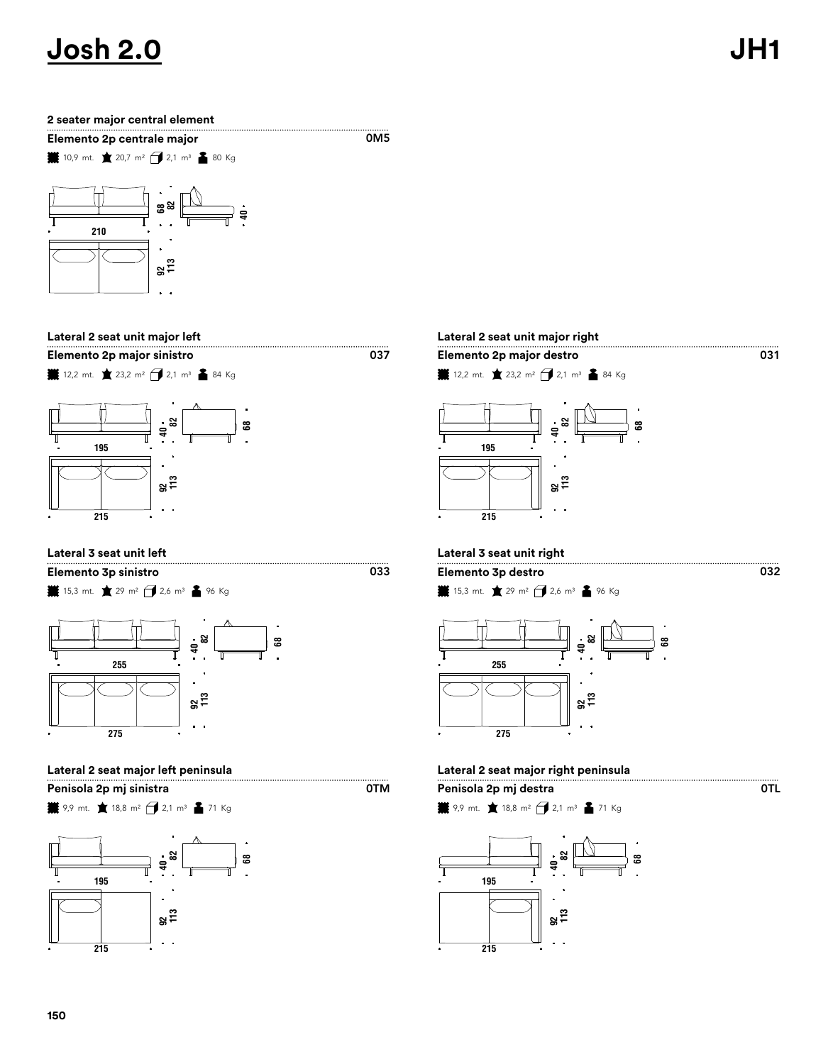## **2 seater major central element**

**Elemento 2p centrale major**

**10,9** mt. ★ 20,7 m<sup>2</sup> → 2,1 m<sup>3</sup> ▲ 80 Kg



# **Lateral 2 seat unit major left Lateral 2 seat unit major right**

**Elemento 2p major sinistro Elemento 2p major destro**



**業** 15,3 mt. ★ 29 m<sup>2</sup> → 2,6 m<sup>3</sup> ▲ 96 Kg **Elemento 3p sinistro Elemento 3p destro**



**Penisola 2p mj sinistra Penisola 2p mj destra**

**業** 9,9 mt. ★ 18,8 m<sup>2</sup> → 2,1 m<sup>3</sup> ▲ 71 Kg



# 

..........<br>0M5

0TM

**12,2** mt. ★ 23,2 m<sup>2</sup> → 2,1 m<sup>3</sup> ▲ 84 Kg



# **Lateral 3 seat unit left Lateral 3 seat unit right**

**¥** 15,3 mt. ★ 29 m<sup>2</sup> → 2,6 m<sup>3</sup> ▲ 96 Kg



# **Lateral 2 seat major left peninsula Lateral 2 seat major right peninsula**

$$
H \text{ 9,9 mL} \cdot \text{18,8 m}^2 \cdot \text{ 13,1 m}^3 \cdot \text{ 171 kg}
$$



 $\overline{\text{OTL}}$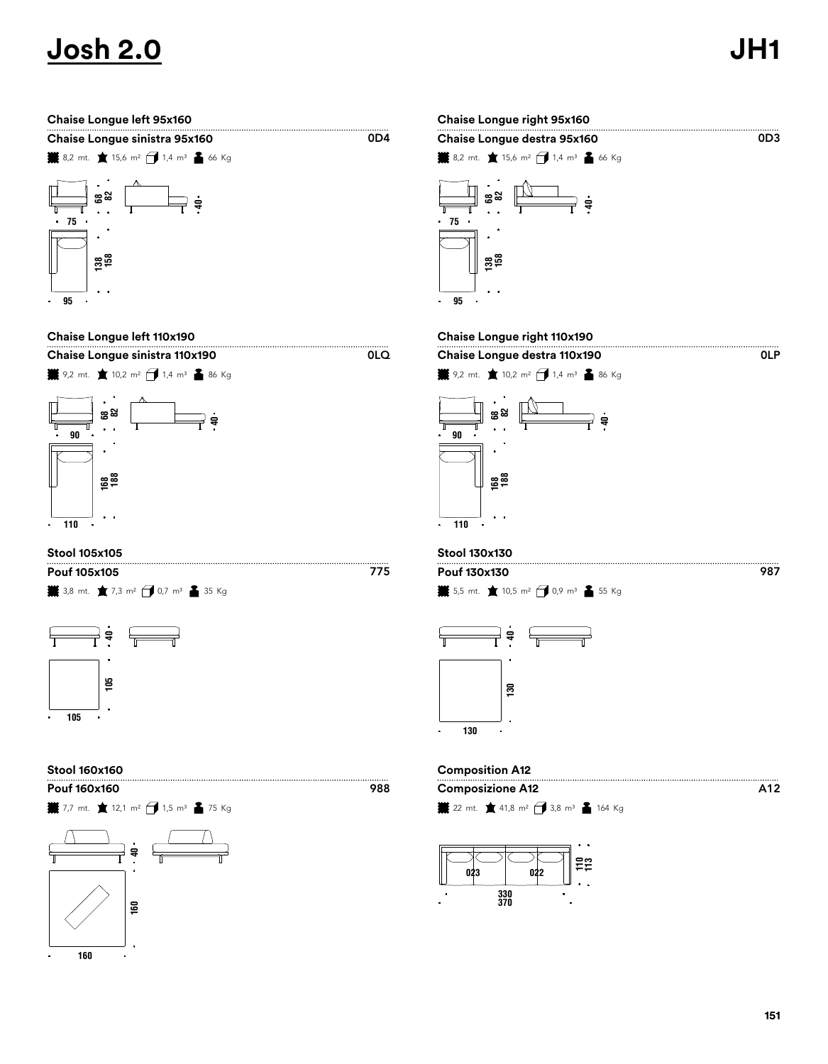0LP

A12

| Chaise Longue sinistra 95x160 |  |            |  |  |  |  |
|-------------------------------|--|------------|--|--|--|--|
| معمد                          |  | $\sqrt{ }$ |  |  |  |  |







# **Stool 105x105 Stool 130x130**

**¥** 3,8 mt. ★ 7,3 m<sup>2</sup> → 0,7 m<sup>3</sup> ▲ 35 Kg **Pouf 105x105 Pouf 130x130**



**業** 7,7 mt. ★ 12,1 m<sup>2</sup> → 1,5 m<sup>3</sup> ▲ 75 Kg **Pouf 160x160 Composizione A12**



# **Chaise Longue left 95x160 Chaise Longue right 95x160**  $\overline{OD3}$ **Chaise Longue destra 95x160 ¥**8,2 mt. ★ 15,6 m<sup>2</sup> → 1,4 m<sup>3</sup> ▲ 66 Kg  $\overset{\rightharpoonup}{\Longrightarrow}$   $\vdots$  $\mathbb{N}$  **82**

# **Chaise Longue left 110x190 Chaise Longue right 110x190**





 $\overline{OD4}$ 

0LQ

 $\frac{1}{2}$  5,5 mt. ★ 10,5 m<sup>2</sup> → 0,9 m<sup>3</sup> ▲ 55 Kg



# **Stool 160x160 Composition A12**

**¥** 22 mt. ★ 41,8 m<sup>2</sup> → 3,8 m<sup>3</sup> ▲ 164 Kg

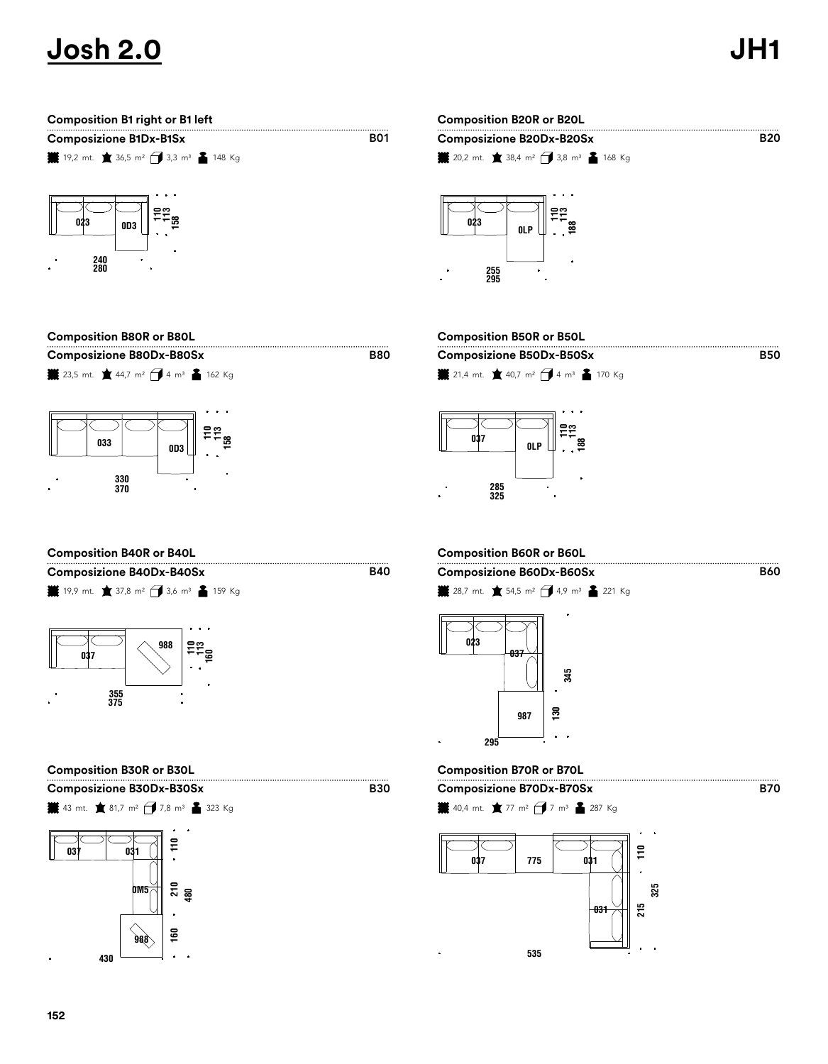B50

B60

**B70** 



| COMPOSITION DOUR OF BOUL                                                           |
|------------------------------------------------------------------------------------|
| <b>Composizione B80Dx-B80Sx</b>                                                    |
| 23,5 mt. $\bullet$ 44,7 m <sup>2</sup> $\bullet$ 4 m <sup>3</sup> $\bullet$ 162 Kg |
|                                                                                    |
|                                                                                    |
|                                                                                    |
|                                                                                    |
| 033<br>OD3                                                                         |

# **Composizione B80Dx-B80Sx Composizione B50Dx-B50Sx Composition B80R or B80L Composition B50R or B50L**

**¥** 21,4 mt. ★ 40,7 m<sup>2</sup> → 4 m<sup>3</sup> ▲ 170 Kg



# **Composition B40R or B40L Composition B60R or B60L**

 

**業** 19,9 mt. ★ 37,8 m<sup>2</sup> → 3,6 m<sup>3</sup> ▲ 159 Kg **Composizione B40Dx-B40Sx Composizione B60Dx-B60Sx**



 $\frac{1}{2}$  43 mt. ★ 81,7 m<sup>2</sup> → 7,8 m<sup>3</sup> ▲ 323 Kg **Composizione B30Dx-B30Sx Composizione B70Dx-B70Sx**

 **160 480 0M5** 

B40

B30

**B80** 

**業** 28,7 mt. ★ 54,5 m<sup>2</sup> → 4,9 m<sup>3</sup> ▲ 221 Kg



# **Composition B30R or B30L Composition B70R or B70L**

**業** 40,4 mt. ★ 77 m<sup>2</sup> <del>1</del> 7 m<sup>3</sup> ▲ 287 Kg